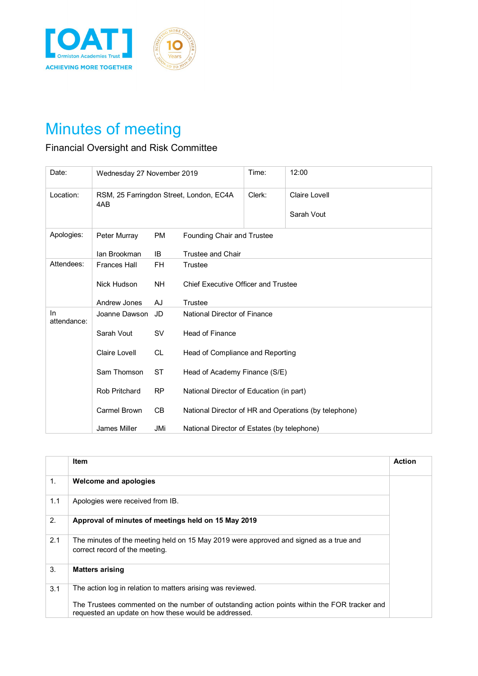



## Minutes of meeting

## Financial Oversight and Risk Committee

| Date:              | Wednesday 27 November 2019                     |           |                                             | Time:  | 12:00                                                 |
|--------------------|------------------------------------------------|-----------|---------------------------------------------|--------|-------------------------------------------------------|
| Location:          | RSM, 25 Farringdon Street, London, EC4A<br>4AB |           |                                             | Clerk: | <b>Claire Lovell</b>                                  |
|                    |                                                |           |                                             |        | Sarah Vout                                            |
| Apologies:         | Peter Murray                                   | <b>PM</b> | Founding Chair and Trustee                  |        |                                                       |
|                    | lan Brookman                                   | IB        | Trustee and Chair                           |        |                                                       |
| Attendees:         | <b>Frances Hall</b>                            | <b>FH</b> | Trustee                                     |        |                                                       |
|                    | Nick Hudson                                    | <b>NH</b> | <b>Chief Executive Officer and Trustee</b>  |        |                                                       |
|                    | Andrew Jones                                   | AJ        | Trustee                                     |        |                                                       |
| In.<br>attendance: | Joanne Dawson                                  | JD        | National Director of Finance                |        |                                                       |
|                    | Sarah Vout                                     | <b>SV</b> | <b>Head of Finance</b>                      |        |                                                       |
|                    | <b>Claire Lovell</b>                           | <b>CL</b> | Head of Compliance and Reporting            |        |                                                       |
|                    | Sam Thomson                                    | ST        | Head of Academy Finance (S/E)               |        |                                                       |
|                    | <b>Rob Pritchard</b>                           | <b>RP</b> | National Director of Education (in part)    |        |                                                       |
|                    | Carmel Brown                                   | CB        |                                             |        | National Director of HR and Operations (by telephone) |
|                    | James Miller                                   | JMi       | National Director of Estates (by telephone) |        |                                                       |

|     | <b>Item</b>                                                                                                                                          | <b>Action</b> |
|-----|------------------------------------------------------------------------------------------------------------------------------------------------------|---------------|
| 1.  | Welcome and apologies                                                                                                                                |               |
| 1.1 | Apologies were received from IB.                                                                                                                     |               |
| 2.  | Approval of minutes of meetings held on 15 May 2019                                                                                                  |               |
| 2.1 | The minutes of the meeting held on 15 May 2019 were approved and signed as a true and<br>correct record of the meeting.                              |               |
| 3.  | <b>Matters arising</b>                                                                                                                               |               |
| 3.1 | The action log in relation to matters arising was reviewed.                                                                                          |               |
|     | The Trustees commented on the number of outstanding action points within the FOR tracker and<br>requested an update on how these would be addressed. |               |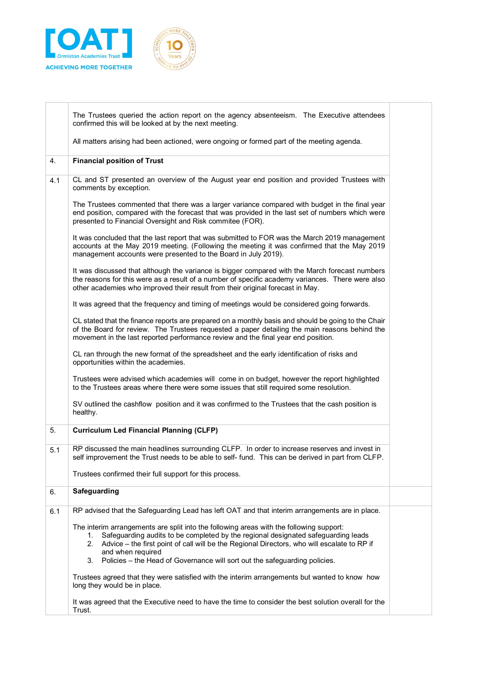



|     | The Trustees queried the action report on the agency absenteeism. The Executive attendees                                                                                                                                                                                                                                                                                                  |
|-----|--------------------------------------------------------------------------------------------------------------------------------------------------------------------------------------------------------------------------------------------------------------------------------------------------------------------------------------------------------------------------------------------|
|     | confirmed this will be looked at by the next meeting.                                                                                                                                                                                                                                                                                                                                      |
|     | All matters arising had been actioned, were ongoing or formed part of the meeting agenda.                                                                                                                                                                                                                                                                                                  |
| 4.  | <b>Financial position of Trust</b>                                                                                                                                                                                                                                                                                                                                                         |
| 4.1 | CL and ST presented an overview of the August year end position and provided Trustees with<br>comments by exception.                                                                                                                                                                                                                                                                       |
|     | The Trustees commented that there was a larger variance compared with budget in the final year<br>end position, compared with the forecast that was provided in the last set of numbers which were<br>presented to Financial Oversight and Risk commitee (FOR).                                                                                                                            |
|     | It was concluded that the last report that was submitted to FOR was the March 2019 management<br>accounts at the May 2019 meeting. (Following the meeting it was confirmed that the May 2019<br>management accounts were presented to the Board in July 2019).                                                                                                                             |
|     | It was discussed that although the variance is bigger compared with the March forecast numbers<br>the reasons for this were as a result of a number of specific academy variances. There were also<br>other academies who improved their result from their original forecast in May.                                                                                                       |
|     | It was agreed that the frequency and timing of meetings would be considered going forwards.                                                                                                                                                                                                                                                                                                |
|     | CL stated that the finance reports are prepared on a monthly basis and should be going to the Chair<br>of the Board for review. The Trustees requested a paper detailing the main reasons behind the<br>movement in the last reported performance review and the final year end position.                                                                                                  |
|     | CL ran through the new format of the spreadsheet and the early identification of risks and<br>opportunities within the academies.                                                                                                                                                                                                                                                          |
|     | Trustees were advised which academies will come in on budget, however the report highlighted<br>to the Trustees areas where there were some issues that still required some resolution.                                                                                                                                                                                                    |
|     | SV outlined the cashflow position and it was confirmed to the Trustees that the cash position is<br>healthy.                                                                                                                                                                                                                                                                               |
| 5.  | <b>Curriculum Led Financial Planning (CLFP)</b>                                                                                                                                                                                                                                                                                                                                            |
| 5.1 | RP discussed the main headlines surrounding CLFP. In order to increase reserves and invest in<br>self improvement the Trust needs to be able to self- fund. This can be derived in part from CLFP.                                                                                                                                                                                         |
|     | Trustees confirmed their full support for this process.                                                                                                                                                                                                                                                                                                                                    |
| 6.  | Safeguarding                                                                                                                                                                                                                                                                                                                                                                               |
| 6.1 | RP advised that the Safeguarding Lead has left OAT and that interim arrangements are in place.                                                                                                                                                                                                                                                                                             |
|     | The interim arrangements are split into the following areas with the following support:<br>Safeguarding audits to be completed by the regional designated safeguarding leads<br>1.<br>2. Advice – the first point of call will be the Regional Directors, who will escalate to RP if<br>and when required<br>3. Policies - the Head of Governance will sort out the safeguarding policies. |
|     | Trustees agreed that they were satisfied with the interim arrangements but wanted to know how<br>long they would be in place.                                                                                                                                                                                                                                                              |
|     | It was agreed that the Executive need to have the time to consider the best solution overall for the<br>Trust.                                                                                                                                                                                                                                                                             |